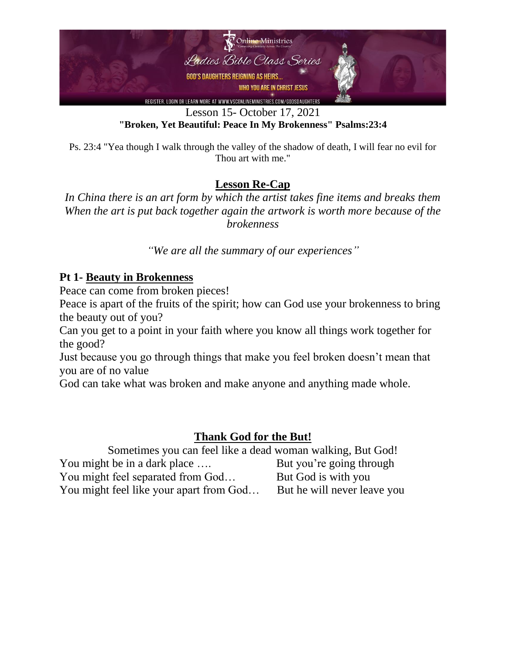

Lesson 15- October 17, 2021 **"Broken, Yet Beautiful: Peace In My Brokenness" Psalms:23:4**

Ps. 23:4 "Yea though I walk through the valley of the shadow of death, I will fear no evil for Thou art with me."

### **Lesson Re-Cap**

*In China there is an art form by which the artist takes fine items and breaks them When the art is put back together again the artwork is worth more because of the brokenness*

*"We are all the summary of our experiences"*

#### **Pt 1- Beauty in Brokenness**

Peace can come from broken pieces!

Peace is apart of the fruits of the spirit; how can God use your brokenness to bring the beauty out of you?

Can you get to a point in your faith where you know all things work together for the good?

Just because you go through things that make you feel broken doesn't mean that you are of no value

God can take what was broken and make anyone and anything made whole.

### **Thank God for the But!**

Sometimes you can feel like a dead woman walking, But God! You might be in a dark place .... But you're going through You might feel separated from God... But God is with you You might feel like your apart from God... But he will never leave you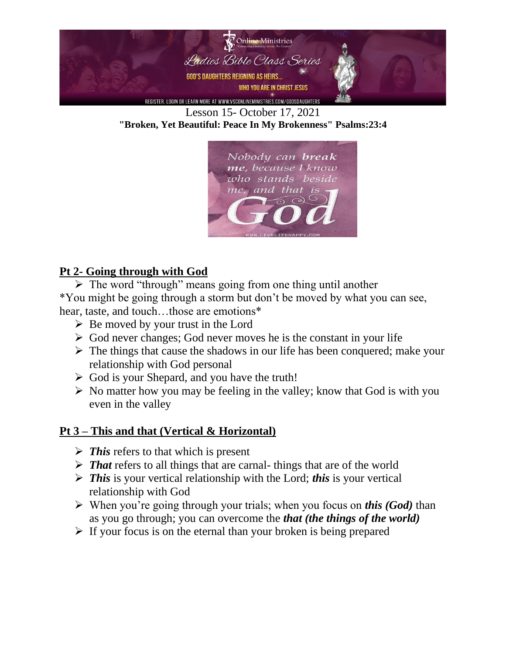

Lesson 15- October 17, 2021 **"Broken, Yet Beautiful: Peace In My Brokenness" Psalms:23:4**



# **Pt 2- Going through with God**

➢ The word "through" means going from one thing until another \*You might be going through a storm but don't be moved by what you can see, hear, taste, and touch...those are emotions\*

- $\triangleright$  Be moved by your trust in the Lord
- $\triangleright$  God never changes; God never moves he is the constant in your life
- $\triangleright$  The things that cause the shadows in our life has been conquered; make your relationship with God personal
- $\triangleright$  God is your Shepard, and you have the truth!
- $\triangleright$  No matter how you may be feeling in the valley; know that God is with you even in the valley

# **Pt 3 – This and that (Vertical & Horizontal)**

- ➢ *This* refers to that which is present
- ➢ *That* refers to all things that are carnal- things that are of the world
- ➢ *This* is your vertical relationship with the Lord; *this* is your vertical relationship with God
- ➢ When you're going through your trials; when you focus on *this (God)* than as you go through; you can overcome the *that (the things of the world)*
- $\triangleright$  If your focus is on the eternal than your broken is being prepared